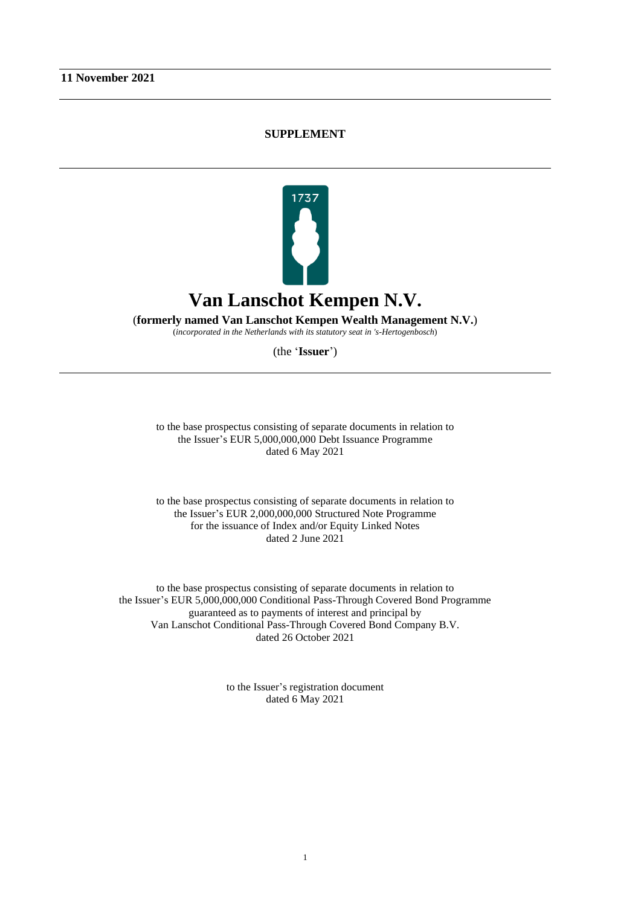## **SUPPLEMENT**



(**formerly named Van Lanschot Kempen Wealth Management N.V.**)

(*incorporated in the Netherlands with its statutory seat in 's-Hertogenbosch*)

(the '**Issuer**')

to the base prospectus consisting of separate documents in relation to the Issuer's EUR 5,000,000,000 Debt Issuance Programme dated 6 May 2021

to the base prospectus consisting of separate documents in relation to the Issuer's EUR 2,000,000,000 Structured Note Programme for the issuance of Index and/or Equity Linked Notes dated 2 June 2021

to the base prospectus consisting of separate documents in relation to the Issuer's EUR 5,000,000,000 Conditional Pass-Through Covered Bond Programme guaranteed as to payments of interest and principal by Van Lanschot Conditional Pass-Through Covered Bond Company B.V. dated 26 October 2021

> to the Issuer's registration document dated 6 May 2021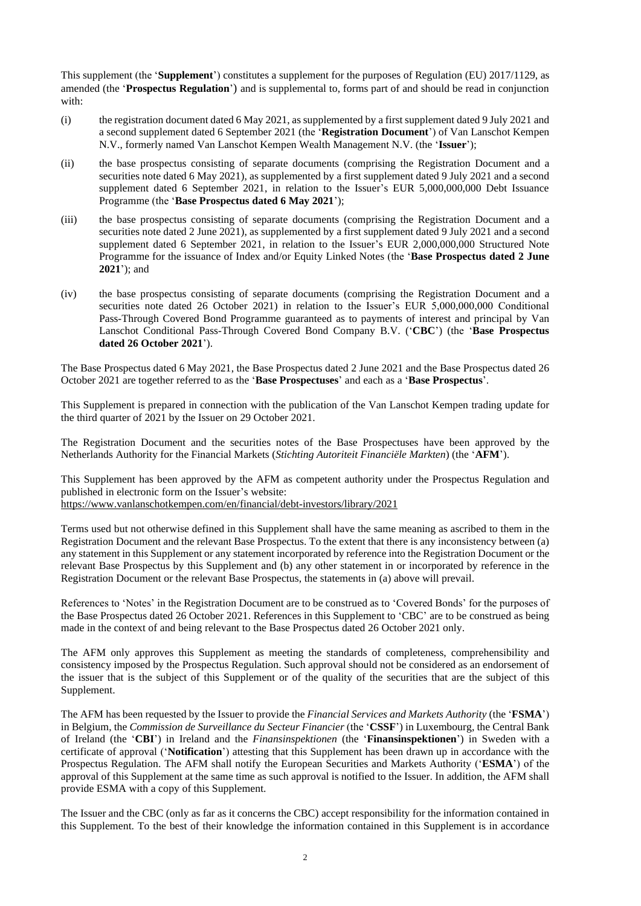This supplement (the '**Supplement**') constitutes a supplement for the purposes of Regulation (EU) 2017/1129, as amended (the '**Prospectus Regulation**') and is supplemental to, forms part of and should be read in conjunction with:

- (i) the registration document dated 6 May 2021, as supplemented by a first supplement dated 9 July 2021 and a second supplement dated 6 September 2021 (the '**Registration Document**') of Van Lanschot Kempen N.V., formerly named Van Lanschot Kempen Wealth Management N.V. (the '**Issuer**');
- (ii) the base prospectus consisting of separate documents (comprising the Registration Document and a securities note dated 6 May 2021), as supplemented by a first supplement dated 9 July 2021 and a second supplement dated 6 September 2021, in relation to the Issuer's EUR 5,000,000,000 Debt Issuance Programme (the '**Base Prospectus dated 6 May 2021**');
- (iii) the base prospectus consisting of separate documents (comprising the Registration Document and a securities note dated 2 June 2021), as supplemented by a first supplement dated 9 July 2021 and a second supplement dated 6 September 2021, in relation to the Issuer's EUR 2,000,000,000 Structured Note Programme for the issuance of Index and/or Equity Linked Notes (the '**Base Prospectus dated 2 June 2021**'); and
- (iv) the base prospectus consisting of separate documents (comprising the Registration Document and a securities note dated 26 October 2021) in relation to the Issuer's EUR 5,000,000,000 Conditional Pass-Through Covered Bond Programme guaranteed as to payments of interest and principal by Van Lanschot Conditional Pass-Through Covered Bond Company B.V. ('**CBC**') (the '**Base Prospectus dated 26 October 2021**').

The Base Prospectus dated 6 May 2021, the Base Prospectus dated 2 June 2021 and the Base Prospectus dated 26 October 2021 are together referred to as the '**Base Prospectuses**' and each as a '**Base Prospectus**'.

This Supplement is prepared in connection with the publication of the Van Lanschot Kempen trading update for the third quarter of 2021 by the Issuer on 29 October 2021.

The Registration Document and the securities notes of the Base Prospectuses have been approved by the Netherlands Authority for the Financial Markets (*Stichting Autoriteit Financiële Markten*) (the '**AFM**').

This Supplement has been approved by the AFM as competent authority under the Prospectus Regulation and published in electronic form on the Issuer's website: <https://www.vanlanschotkempen.com/en/financial/debt-investors/library/2021>

Terms used but not otherwise defined in this Supplement shall have the same meaning as ascribed to them in the Registration Document and the relevant Base Prospectus. To the extent that there is any inconsistency between (a) any statement in this Supplement or any statement incorporated by reference into the Registration Document or the relevant Base Prospectus by this Supplement and (b) any other statement in or incorporated by reference in the Registration Document or the relevant Base Prospectus, the statements in (a) above will prevail.

References to 'Notes' in the Registration Document are to be construed as to 'Covered Bonds' for the purposes of the Base Prospectus dated 26 October 2021. References in this Supplement to 'CBC' are to be construed as being made in the context of and being relevant to the Base Prospectus dated 26 October 2021 only.

The AFM only approves this Supplement as meeting the standards of completeness, comprehensibility and consistency imposed by the Prospectus Regulation. Such approval should not be considered as an endorsement of the issuer that is the subject of this Supplement or of the quality of the securities that are the subject of this Supplement.

The AFM has been requested by the Issuer to provide the *Financial Services and Markets Authority* (the '**FSMA**') in Belgium, the *Commission de Surveillance du Secteur Financier* (the '**CSSF**') in Luxembourg, the Central Bank of Ireland (the '**CBI**') in Ireland and the *Finansinspektionen* (the '**Finansinspektionen**') in Sweden with a certificate of approval ('**Notification**') attesting that this Supplement has been drawn up in accordance with the Prospectus Regulation. The AFM shall notify the European Securities and Markets Authority ('**ESMA**') of the approval of this Supplement at the same time as such approval is notified to the Issuer. In addition, the AFM shall provide ESMA with a copy of this Supplement.

The Issuer and the CBC (only as far as it concerns the CBC) accept responsibility for the information contained in this Supplement. To the best of their knowledge the information contained in this Supplement is in accordance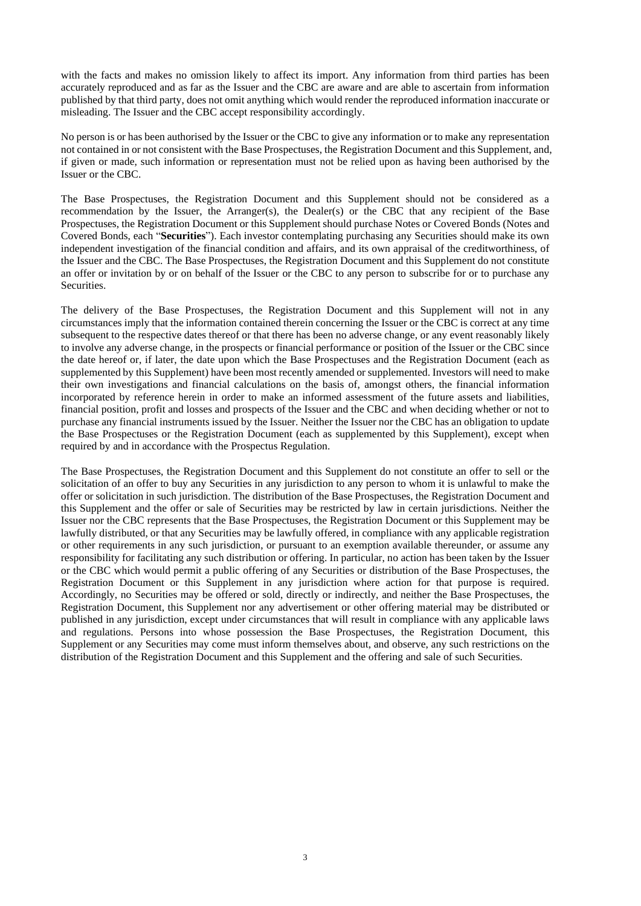with the facts and makes no omission likely to affect its import. Any information from third parties has been accurately reproduced and as far as the Issuer and the CBC are aware and are able to ascertain from information published by that third party, does not omit anything which would render the reproduced information inaccurate or misleading. The Issuer and the CBC accept responsibility accordingly.

No person is or has been authorised by the Issuer or the CBC to give any information or to make any representation not contained in or not consistent with the Base Prospectuses, the Registration Document and this Supplement, and, if given or made, such information or representation must not be relied upon as having been authorised by the Issuer or the CBC.

The Base Prospectuses, the Registration Document and this Supplement should not be considered as a recommendation by the Issuer, the Arranger(s), the Dealer(s) or the CBC that any recipient of the Base Prospectuses, the Registration Document or this Supplement should purchase Notes or Covered Bonds (Notes and Covered Bonds, each "**Securities**"). Each investor contemplating purchasing any Securities should make its own independent investigation of the financial condition and affairs, and its own appraisal of the creditworthiness, of the Issuer and the CBC. The Base Prospectuses, the Registration Document and this Supplement do not constitute an offer or invitation by or on behalf of the Issuer or the CBC to any person to subscribe for or to purchase any Securities.

The delivery of the Base Prospectuses, the Registration Document and this Supplement will not in any circumstances imply that the information contained therein concerning the Issuer or the CBC is correct at any time subsequent to the respective dates thereof or that there has been no adverse change, or any event reasonably likely to involve any adverse change, in the prospects or financial performance or position of the Issuer or the CBC since the date hereof or, if later, the date upon which the Base Prospectuses and the Registration Document (each as supplemented by this Supplement) have been most recently amended or supplemented. Investors will need to make their own investigations and financial calculations on the basis of, amongst others, the financial information incorporated by reference herein in order to make an informed assessment of the future assets and liabilities, financial position, profit and losses and prospects of the Issuer and the CBC and when deciding whether or not to purchase any financial instruments issued by the Issuer. Neither the Issuer nor the CBC has an obligation to update the Base Prospectuses or the Registration Document (each as supplemented by this Supplement), except when required by and in accordance with the Prospectus Regulation.

The Base Prospectuses, the Registration Document and this Supplement do not constitute an offer to sell or the solicitation of an offer to buy any Securities in any jurisdiction to any person to whom it is unlawful to make the offer or solicitation in such jurisdiction. The distribution of the Base Prospectuses, the Registration Document and this Supplement and the offer or sale of Securities may be restricted by law in certain jurisdictions. Neither the Issuer nor the CBC represents that the Base Prospectuses, the Registration Document or this Supplement may be lawfully distributed, or that any Securities may be lawfully offered, in compliance with any applicable registration or other requirements in any such jurisdiction, or pursuant to an exemption available thereunder, or assume any responsibility for facilitating any such distribution or offering. In particular, no action has been taken by the Issuer or the CBC which would permit a public offering of any Securities or distribution of the Base Prospectuses, the Registration Document or this Supplement in any jurisdiction where action for that purpose is required. Accordingly, no Securities may be offered or sold, directly or indirectly, and neither the Base Prospectuses, the Registration Document, this Supplement nor any advertisement or other offering material may be distributed or published in any jurisdiction, except under circumstances that will result in compliance with any applicable laws and regulations. Persons into whose possession the Base Prospectuses, the Registration Document, this Supplement or any Securities may come must inform themselves about, and observe, any such restrictions on the distribution of the Registration Document and this Supplement and the offering and sale of such Securities.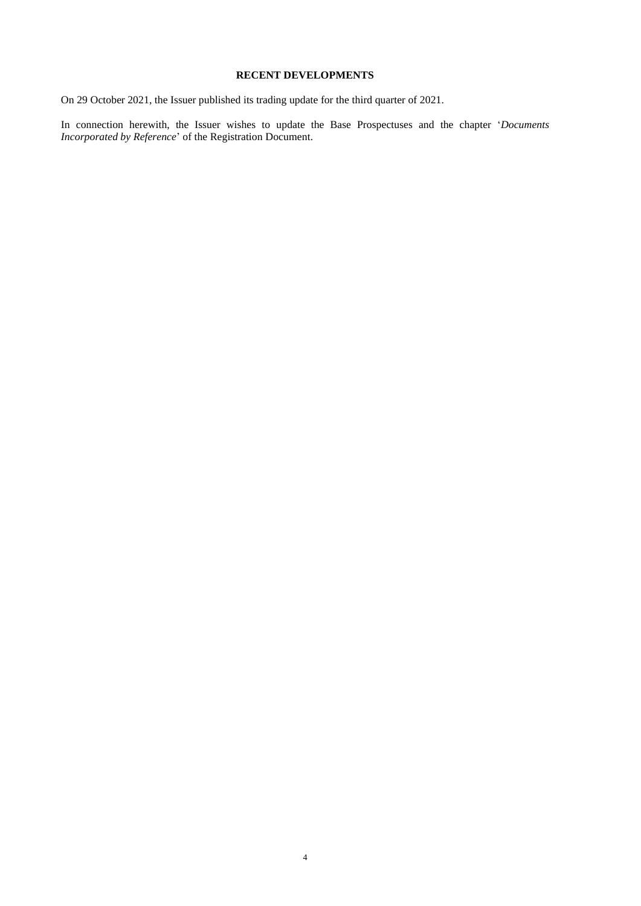## **RECENT DEVELOPMENTS**

On 29 October 2021, the Issuer published its trading update for the third quarter of 2021.

In connection herewith, the Issuer wishes to update the Base Prospectuses and the chapter '*Documents Incorporated by Reference*' of the Registration Document.